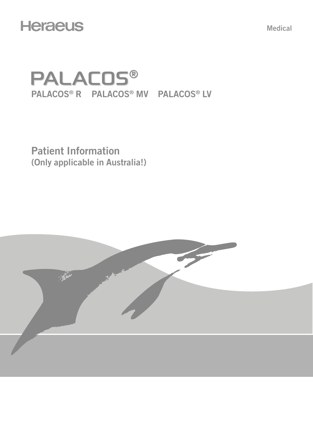## **Heraeus**

Medical

# **PALACOS®** PALACOS® R PALACOS® MV PALACOS® LV

Patient Information (Only applicable in Australia!)

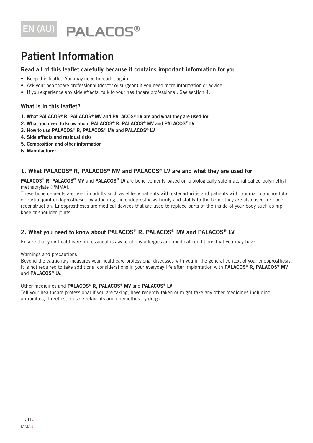# EN (AU) PALACOS®

## Patient Information

#### Read all of this leaflet carefully because it contains important information for you.

- Keep this leaflet. You may need to read it again.
- Ask your healthcare professional (doctor or surgeon) if you need more information or advice.
- If you experience any side effects, talk to your healthcare professional. See section 4.

### What is in this leaflet?

- 1. What PALACOS® R, PALACOS® MV and PALACOS® LV are and what they are used for
- 2. What you need to know about PALACOS® R, PALACOS® MV and PALACOS® LV
- 3. How to use PALACOS® R, PALACOS® MV and PALACOS® LV
- 4. Side effects and residual risks
- 5. Composition and other information
- 6. Manufacturer

### 1. What PALACOS® R, PALACOS® MV and PALACOS® LV are and what they are used for

PALACOS® R, PALACOS® MV and PALACOS® LV are bone cements based on a biologically safe material called polymethyl methacrylate (PMMA).

These bone cements are used in adults such as elderly patients with osteoarthritis and patients with trauma to anchor total or partial joint endoprostheses by attaching the endoprosthesis firmly and stably to the bone; they are also used for bone reconstruction. Endoprostheses are medical devices that are used to replace parts of the inside of your body such as hip, knee or shoulder joints.

## 2. What you need to know about PALACOS® R, PALACOS® MV and PALACOS® LV

Ensure that your healthcare professional is aware of any allergies and medical conditions that you may have.

#### Warnings and precautions

Beyond the cautionary measures your healthcare professional discusses with you in the general context of your endoprosthesis, it is not required to take additional considerations in your everyday life after implantation with PALACOS® R, PALACOS® MV and PALACOS<sup>®</sup> LV.

#### Other medicines and PALACOS® R, PALACOS® MV and PALACOS® LV

Tell your healthcare professional if you are taking, have recently taken or might take any other medicines including: antibiotics, diuretics, muscle relaxants and chemotherapy drugs.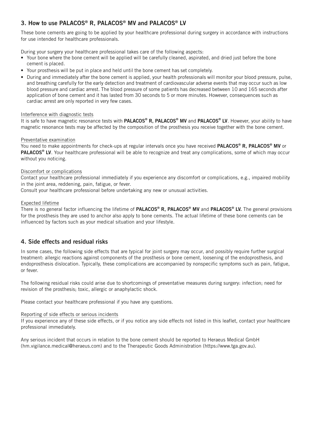## 3. How to use PALACOS® R, PALACOS® MV and PALACOS® LV

These bone cements are going to be applied by your healthcare professional during surgery in accordance with instructions for use intended for healthcare professionals.

During your surgery your healthcare professional takes care of the following aspects:

- Your bone where the bone cement will be applied will be carefully cleaned, aspirated, and dried just before the bone cement is placed.
- Your prosthesis will be put in place and held until the bone cement has set completely.
- During and immediately after the bone cement is applied, your health professionals will monitor your blood pressure, pulse, and breathing carefully for the early detection and treatment of cardiovascular adverse events that may occur such as low blood pressure and cardiac arrest. The blood pressure of some patients has decreased between 10 and 165 seconds after application of bone cement and it has lasted from 30 seconds to 5 or more minutes. However, consequences such as cardiac arrest are only reported in very few cases.

#### Interference with diagnostic tests

It is safe to have magnetic resonance tests with PALACOS® R, PALACOS® MV and PALACOS® LV. However, your ability to have magnetic resonance tests may be affected by the composition of the prosthesis you receive together with the bone cement.

#### Preventative examination

You need to make appointments for check-ups at regular intervals once you have received PALACOS<sup>®</sup> R, PALACOS<sup>®</sup> MV or PALACOS<sup>®</sup> LV. Your healthcare professional will be able to recognize and treat any complications, some of which may occur without you noticing.

#### Discomfort or complications

Contact your healthcare professional immediately if you experience any discomfort or complications, e.g., impaired mobility in the joint area, reddening, pain, fatigue, or fever.

Consult your healthcare professional before undertaking any new or unusual activities.

#### Expected lifetime

There is no general factor influencing the lifetime of PALACOS® R, PALACOS® MV and PALACOS® LV. The general provisions for the prosthesis they are used to anchor also apply to bone cements. The actual lifetime of these bone cements can be influenced by factors such as your medical situation and your lifestyle.

#### 4. Side effects and residual risks

In some cases, the following side effects that are typical for joint surgery may occur, and possibly require further surgical treatment: allergic reactions against components of the prosthesis or bone cement, loosening of the endoprosthesis, and endoprosthesis dislocation. Typically, these complications are accompanied by nonspecific symptoms such as pain, fatigue, or fever.

The following residual risks could arise due to shortcomings of preventative measures during surgery: infection; need for revision of the prosthesis; toxic, allergic or anaphylactic shock.

Please contact your healthcare professional if you have any questions.

#### Reporting of side effects or serious incidents

If you experience any of these side effects, or if you notice any side effects not listed in this leaflet, contact your healthcare professional immediately.

Any serious incident that occurs in relation to the bone cement should be reported to Heraeus Medical GmbH (hm.vigilance.medical@heraeus.com) and to the Therapeutic Goods Administration (https://www.tga.gov.au).